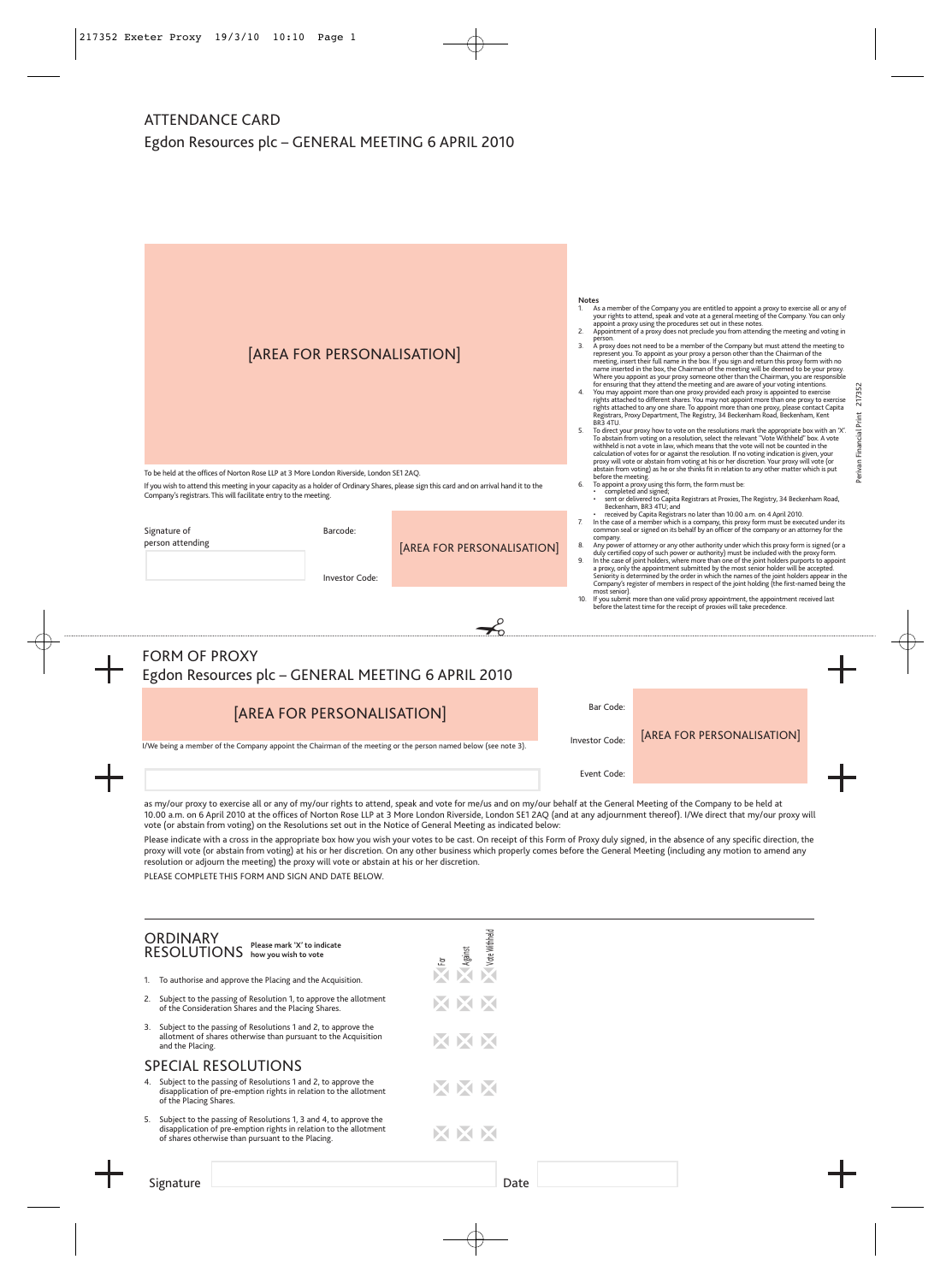## ATTENDANCE CARD Egdon Resources plc – GENERAL MEETING 6 APRIL 2010

|                                                                            | [AREA FOR PERSONALISATION]                                                                                                                                                                                                                                                                                                                                                                                                                 |                            |                                                                                                                                                                                                                                                                                                                                                                                                                                                                                                                                                    |                             | <b>Notes</b><br>As a member of the Company you are entitled to appoint a proxy to exercise all or any of<br>1.<br>your rights to attend, speak and vote at a general meeting of the Company. You can only<br>appoint a proxy using the procedures set out in these notes.<br>Appointment of a proxy does not preclude you from attending the meeting and voting in<br>2.<br>person.<br>A proxy does not need to be a member of the Company but must attend the meeting to<br>3.<br>represent you. To appoint as your proxy a person other than the Chairman of the<br>meeting, insert their full name in the box. If you sign and return this proxy form with no<br>name inserted in the box, the Chairman of the meeting will be deemed to be your proxy.<br>Where you appoint as your proxy someone other than the Chairman, you are responsible<br>for ensuring that they attend the meeting and are aware of your voting intentions.<br>You may appoint more than one proxy provided each proxy is appointed to exercise<br>rights attached to different shares. You may not appoint more than one proxy to exercise<br>rights attached to any one share. To appoint more than one proxy, please contact Capita<br>Registrars, Proxy Department, The Registry, 34 Beckenham Road, Beckenham, Kent<br>BR3 4TU.<br>To direct your proxy how to vote on the resolutions mark the appropriate box with an 'X'.<br>5.<br>To abstain from voting on a resolution, select the relevant "Vote Withheld" box. A vote<br>withheld is not a vote in law, which means that the vote will not be counted in the<br>calculation of votes for or against the resolution. If no voting indication is given, your<br>proxy will vote or abstain from voting at his or her discretion. Your proxy will vote (or |                                                                                                                                                                                                                                                                                                                                                                                                                                                                                                                                                                                                                                                                                                                                                                                                                              |                         |  |  |  |  |
|----------------------------------------------------------------------------|--------------------------------------------------------------------------------------------------------------------------------------------------------------------------------------------------------------------------------------------------------------------------------------------------------------------------------------------------------------------------------------------------------------------------------------------|----------------------------|----------------------------------------------------------------------------------------------------------------------------------------------------------------------------------------------------------------------------------------------------------------------------------------------------------------------------------------------------------------------------------------------------------------------------------------------------------------------------------------------------------------------------------------------------|-----------------------------|---------------------------------------------------------------------------------------------------------------------------------------------------------------------------------------------------------------------------------------------------------------------------------------------------------------------------------------------------------------------------------------------------------------------------------------------------------------------------------------------------------------------------------------------------------------------------------------------------------------------------------------------------------------------------------------------------------------------------------------------------------------------------------------------------------------------------------------------------------------------------------------------------------------------------------------------------------------------------------------------------------------------------------------------------------------------------------------------------------------------------------------------------------------------------------------------------------------------------------------------------------------------------------------------------------------------------------------------------------------------------------------------------------------------------------------------------------------------------------------------------------------------------------------------------------------------------------------------------------------------------------------------------------------------------------------------------------------------------------------------------------------------------------------------------|------------------------------------------------------------------------------------------------------------------------------------------------------------------------------------------------------------------------------------------------------------------------------------------------------------------------------------------------------------------------------------------------------------------------------------------------------------------------------------------------------------------------------------------------------------------------------------------------------------------------------------------------------------------------------------------------------------------------------------------------------------------------------------------------------------------------------|-------------------------|--|--|--|--|
|                                                                            | To be held at the offices of Norton Rose LLP at 3 More London Riverside, London SE1 2AQ<br>If you wish to attend this meeting in your capacity as a holder of Ordinary Shares, please sign this card and on arrival hand it to the<br>Company's registrars. This will facilitate entry to the meeting.                                                                                                                                     |                            |                                                                                                                                                                                                                                                                                                                                                                                                                                                                                                                                                    | 7.                          | before the meeting.                                                                                                                                                                                                                                                                                                                                                                                                                                                                                                                                                                                                                                                                                                                                                                                                                                                                                                                                                                                                                                                                                                                                                                                                                                                                                                                                                                                                                                                                                                                                                                                                                                                                                                                                                                               | abstain from voting) as he or she thinks fit in relation to any other matter which is put<br>To appoint a proxy using this form, the form must be:<br>completed and signed;<br>sent or delivered to Capita Registrars at Proxies, The Registry, 34 Beckenham Road,<br>Beckenham, BR3 4TU; and<br>received by Capita Registrars no later than 10.00 a.m. on 4 April 2010.<br>In the case of a member which is a company, this proxy form must be executed under its                                                                                                                                                                                                                                                                                                                                                           | Perivan Financial Print |  |  |  |  |
|                                                                            | Signature of<br>person attending                                                                                                                                                                                                                                                                                                                                                                                                           | Barcode:<br>Investor Code: | [AREA FOR PERSONALISATION]                                                                                                                                                                                                                                                                                                                                                                                                                                                                                                                         | 8.<br>9.<br>10.             | company.<br>most senior).                                                                                                                                                                                                                                                                                                                                                                                                                                                                                                                                                                                                                                                                                                                                                                                                                                                                                                                                                                                                                                                                                                                                                                                                                                                                                                                                                                                                                                                                                                                                                                                                                                                                                                                                                                         | common seal or signed on its behalf by an officer of the company or an attorney for the<br>Any power of attorney or any other authority under which this proxy form is signed (or a<br>duly certified copy of such power or authority) must be included with the proxy form.<br>In the case of joint holders, where more than one of the joint holders purports to appoint<br>a proxy, only the appointment submitted by the most senior holder will be accepted.<br>Seniority is determined by the order in which the names of the joint holders appear in the<br>Company's register of members in respect of the joint holding (the first-named being the<br>If you submit more than one valid proxy appointment, the appointment received last<br>before the latest time for the receipt of proxies will take precedence. |                         |  |  |  |  |
| <b>FORM OF PROXY</b><br>Egdon Resources plc - GENERAL MEETING 6 APRIL 2010 |                                                                                                                                                                                                                                                                                                                                                                                                                                            |                            |                                                                                                                                                                                                                                                                                                                                                                                                                                                                                                                                                    |                             |                                                                                                                                                                                                                                                                                                                                                                                                                                                                                                                                                                                                                                                                                                                                                                                                                                                                                                                                                                                                                                                                                                                                                                                                                                                                                                                                                                                                                                                                                                                                                                                                                                                                                                                                                                                                   |                                                                                                                                                                                                                                                                                                                                                                                                                                                                                                                                                                                                                                                                                                                                                                                                                              |                         |  |  |  |  |
|                                                                            | [AREA FOR PERSONALISATION]<br>I/We being a member of the Company appoint the Chairman of the meeting or the person named below (see note 3).                                                                                                                                                                                                                                                                                               |                            |                                                                                                                                                                                                                                                                                                                                                                                                                                                                                                                                                    | Bar Code:<br>Investor Code: | [AREA FOR PERSONALISATION]                                                                                                                                                                                                                                                                                                                                                                                                                                                                                                                                                                                                                                                                                                                                                                                                                                                                                                                                                                                                                                                                                                                                                                                                                                                                                                                                                                                                                                                                                                                                                                                                                                                                                                                                                                        |                                                                                                                                                                                                                                                                                                                                                                                                                                                                                                                                                                                                                                                                                                                                                                                                                              |                         |  |  |  |  |
|                                                                            | as my/our proxy to exercise all or any of my/our rights to attend, speak and vote for me/us and on my/our behalf at the General Meeting of the Company to be held at<br>vote (or abstain from voting) on the Resolutions set out in the Notice of General Meeting as indicated below:<br>resolution or adjourn the meeting) the proxy will vote or abstain at his or her discretion.<br>PLEASE COMPLETE THIS FORM AND SIGN AND DATE BELOW. | Event Code:                | 10.00 a.m. on 6 April 2010 at the offices of Norton Rose LLP at 3 More London Riverside, London SE1 2AQ (and at any adjournment thereof). I/We direct that my/our proxy will<br>Please indicate with a cross in the appropriate box how you wish your votes to be cast. On receipt of this Form of Proxy duly signed, in the absence of any specific direction, the<br>proxy will vote (or abstain from voting) at his or her discretion. On any other business which properly comes before the General Meeting (including any motion to amend any |                             |                                                                                                                                                                                                                                                                                                                                                                                                                                                                                                                                                                                                                                                                                                                                                                                                                                                                                                                                                                                                                                                                                                                                                                                                                                                                                                                                                                                                                                                                                                                                                                                                                                                                                                                                                                                                   |                                                                                                                                                                                                                                                                                                                                                                                                                                                                                                                                                                                                                                                                                                                                                                                                                              |                         |  |  |  |  |
|                                                                            | <b>ODDINIADV</b>                                                                                                                                                                                                                                                                                                                                                                                                                           |                            | 픨                                                                                                                                                                                                                                                                                                                                                                                                                                                                                                                                                  |                             |                                                                                                                                                                                                                                                                                                                                                                                                                                                                                                                                                                                                                                                                                                                                                                                                                                                                                                                                                                                                                                                                                                                                                                                                                                                                                                                                                                                                                                                                                                                                                                                                                                                                                                                                                                                                   |                                                                                                                                                                                                                                                                                                                                                                                                                                                                                                                                                                                                                                                                                                                                                                                                                              |                         |  |  |  |  |

|                            | ORDINARY<br>RESOLUTIONS<br>Please mark 'X' to indicate<br>how you wish to vote                                                                                                             |  | <b>Note</b><br>Magainst<br>Mote Withheld |  |  |  |  |  |
|----------------------------|--------------------------------------------------------------------------------------------------------------------------------------------------------------------------------------------|--|------------------------------------------|--|--|--|--|--|
| 1.                         | To authorise and approve the Placing and the Acquisition.                                                                                                                                  |  |                                          |  |  |  |  |  |
| 2.                         | Subject to the passing of Resolution 1, to approve the allotment<br>of the Consideration Shares and the Placing Shares.                                                                    |  | XXX                                      |  |  |  |  |  |
| 3.                         | Subject to the passing of Resolutions 1 and 2, to approve the<br>allotment of shares otherwise than pursuant to the Acquisition<br>and the Placing.                                        |  | XIXIX                                    |  |  |  |  |  |
| <b>SPECIAL RESOLUTIONS</b> |                                                                                                                                                                                            |  |                                          |  |  |  |  |  |
| 4.                         | Subject to the passing of Resolutions 1 and 2, to approve the<br>disapplication of pre-emption rights in relation to the allotment<br>of the Placing Shares.                               |  | XXX                                      |  |  |  |  |  |
| 5.                         | Subject to the passing of Resolutions 1, 3 and 4, to approve the<br>disapplication of pre-emption rights in relation to the allotment<br>of shares otherwise than pursuant to the Placing. |  | XIXIX                                    |  |  |  |  |  |
|                            |                                                                                                                                                                                            |  |                                          |  |  |  |  |  |

Signature Date was a straightforward of the community of the Date Date was a straightforward of the community of the community of the community of the community of the community of the community of the community of the com